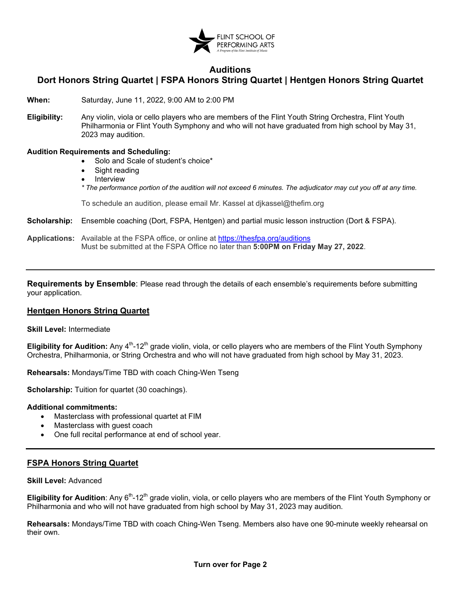

## **Auditions**

# **Dort Honors String Quartet | FSPA Honors String Quartet | Hentgen Honors String Quartet**

**When:** Saturday, June 11, 2022, 9:00 AM to 2:00 PM

**Eligibility:** Any violin, viola or cello players who are members of the Flint Youth String Orchestra, Flint Youth Philharmonia or Fli[nt Youth Symphony and who will not have graduated from high school by](https://thefspa.org/auditions/) May 31, 2023 may audition.

## **Audition Requirements and Scheduling:**

- Solo and Scale of student's choice\*
- Sight reading
- **Interview**

*\* The performance portion of the audition will not exceed 6 minutes. The adjudicator may cut you off at any time.* 

To schedule an audition, please email Mr. Kassel at djkassel@thefim.org

**Scholarship:** Ensemble coaching (Dort, FSPA, Hentgen) and partial music lesson instruction (Dort & FSPA).

**Applications:** Available at the FSPA office, or online at <https://thesfpa.org/auditions> Must be submitted at the FSPA Office no later than **5:00PM on Friday May 27, 2022**.

**Requirements by Ensemble**: Please read through the details of each ensemble's requirements before submitting your application.

#### **Hentgen Honors String Quartet**

**Skill Level:** Intermediate

**Eligibility for Audition:** Any 4<sup>th</sup>-12<sup>th</sup> grade violin, viola, or cello players who are members of the Flint Youth Symphony Orchestra, Philharmonia, or String Orchestra and who will not have graduated from high school by May 31, 2023.

**Rehearsals:** Mondays/Time TBD with coach Ching-Wen Tseng

**Scholarship:** Tuition for quartet (30 coachings).

#### **Additional commitments:**

- Masterclass with professional quartet at FIM
- Masterclass with quest coach
- One full recital performance at end of school year.

## **FSPA Honors String Quartet**

#### **Skill Level:** Advanced

**Eligibility for Audition**: Any 6<sup>th</sup>-12<sup>th</sup> grade violin, viola, or cello players who are members of the Flint Youth Symphony or Philharmonia and who will not have graduated from high school by May 31, 2023 may audition.

**Rehearsals:** Mondays/Time TBD with coach Ching-Wen Tseng. Members also have one 90-minute weekly rehearsal on their own.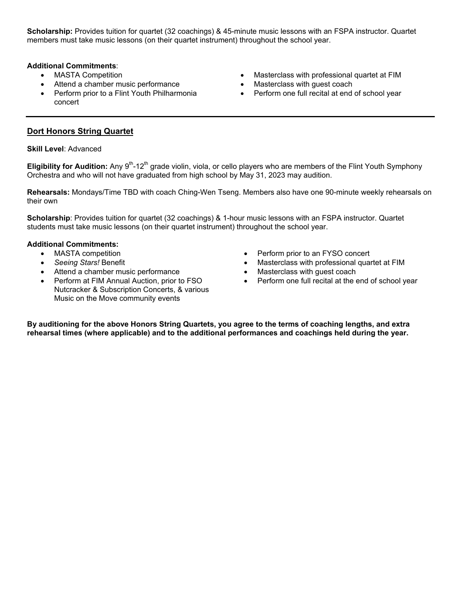**Scholarship:** Provides tuition for quartet (32 coachings) & 45-minute music lessons with an FSPA instructor. Quartet members must take music lessons (on their quartet instrument) throughout the school year.

## **Additional Commitments**:

- MASTA Competition
- Attend a chamber music performance
- Perform prior to a Flint Youth Philharmonia concert
- Masterclass with professional quartet at FIM
- Masterclass with guest coach
- Perform one full recital at end of school year

## **Dort Honors String Quartet**

#### **Skill Level**: Advanced

**Eligibility for Audition:** Any 9<sup>th</sup>-12<sup>th</sup> grade violin, viola, or cello players who are members of the Flint Youth Symphony Orchestra and who will not have graduated from high school by May 31, 2023 may audition.

**Rehearsals:** Mondays/Time TBD with coach Ching-Wen Tseng. Members also have one 90-minute weekly rehearsals on their own

**Scholarship**: Provides tuition for quartet (32 coachings) & 1-hour music lessons with an FSPA instructor. Quartet students must take music lessons (on their quartet instrument) throughout the school year.

## **Additional Commitments:**

- MASTA competition
- *Seeing Stars!* Benefit
- Attend a chamber music performance
- Perform at FIM Annual Auction, prior to FSO Nutcracker & Subscription Concerts, & various Music on the Move community events
- Perform prior to an FYSO concert
- Masterclass with professional quartet at FIM
- Masterclass with guest coach
- Perform one full recital at the end of school year

**By auditioning for the above Honors String Quartets, you agree to the terms of coaching lengths, and extra rehearsal times (where applicable) and to the additional performances and coachings held during the year.**